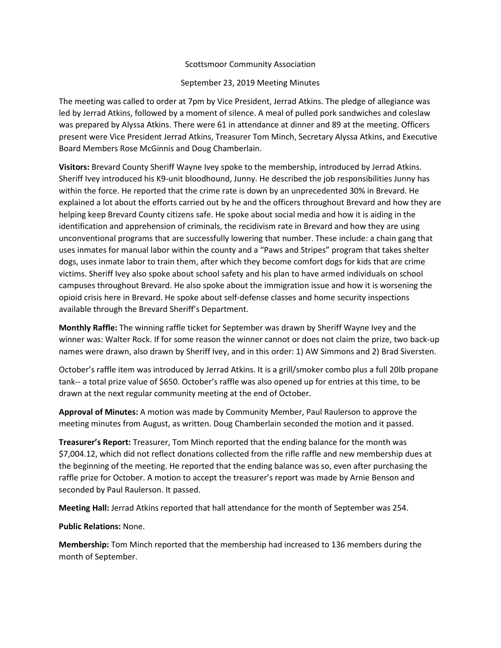## Scottsmoor Community Association

## September 23, 2019 Meeting Minutes

The meeting was called to order at 7pm by Vice President, Jerrad Atkins. The pledge of allegiance was led by Jerrad Atkins, followed by a moment of silence. A meal of pulled pork sandwiches and coleslaw was prepared by Alyssa Atkins. There were 61 in attendance at dinner and 89 at the meeting. Officers present were Vice President Jerrad Atkins, Treasurer Tom Minch, Secretary Alyssa Atkins, and Executive Board Members Rose McGinnis and Doug Chamberlain.

**Visitors:** Brevard County Sheriff Wayne Ivey spoke to the membership, introduced by Jerrad Atkins. Sheriff Ivey introduced his K9-unit bloodhound, Junny. He described the job responsibilities Junny has within the force. He reported that the crime rate is down by an unprecedented 30% in Brevard. He explained a lot about the efforts carried out by he and the officers throughout Brevard and how they are helping keep Brevard County citizens safe. He spoke about social media and how it is aiding in the identification and apprehension of criminals, the recidivism rate in Brevard and how they are using unconventional programs that are successfully lowering that number. These include: a chain gang that uses inmates for manual labor within the county and a "Paws and Stripes" program that takes shelter dogs, uses inmate labor to train them, after which they become comfort dogs for kids that are crime victims. Sheriff Ivey also spoke about school safety and his plan to have armed individuals on school campuses throughout Brevard. He also spoke about the immigration issue and how it is worsening the opioid crisis here in Brevard. He spoke about self-defense classes and home security inspections available through the Brevard Sheriff's Department.

**Monthly Raffle:** The winning raffle ticket for September was drawn by Sheriff Wayne Ivey and the winner was: Walter Rock. If for some reason the winner cannot or does not claim the prize, two back-up names were drawn, also drawn by Sheriff Ivey, and in this order: 1) AW Simmons and 2) Brad Siversten.

October's raffle item was introduced by Jerrad Atkins. It is a grill/smoker combo plus a full 20lb propane tank-- a total prize value of \$650. October's raffle was also opened up for entries at this time, to be drawn at the next regular community meeting at the end of October.

**Approval of Minutes:** A motion was made by Community Member, Paul Raulerson to approve the meeting minutes from August, as written. Doug Chamberlain seconded the motion and it passed.

**Treasurer's Report:** Treasurer, Tom Minch reported that the ending balance for the month was \$7,004.12, which did not reflect donations collected from the rifle raffle and new membership dues at the beginning of the meeting. He reported that the ending balance was so, even after purchasing the raffle prize for October. A motion to accept the treasurer's report was made by Arnie Benson and seconded by Paul Raulerson. It passed.

**Meeting Hall:** Jerrad Atkins reported that hall attendance for the month of September was 254.

## **Public Relations:** None.

**Membership:** Tom Minch reported that the membership had increased to 136 members during the month of September.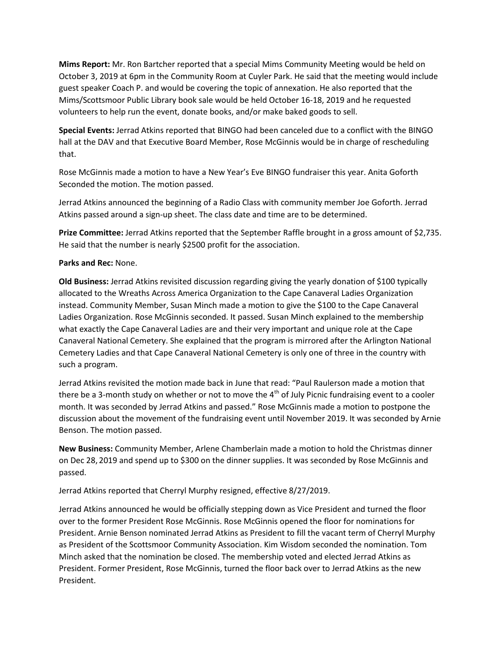**Mims Report:** Mr. Ron Bartcher reported that a special Mims Community Meeting would be held on October 3, 2019 at 6pm in the Community Room at Cuyler Park. He said that the meeting would include guest speaker Coach P. and would be covering the topic of annexation. He also reported that the Mims/Scottsmoor Public Library book sale would be held October 16-18, 2019 and he requested volunteers to help run the event, donate books, and/or make baked goods to sell.

**Special Events:** Jerrad Atkins reported that BINGO had been canceled due to a conflict with the BINGO hall at the DAV and that Executive Board Member, Rose McGinnis would be in charge of rescheduling that.

Rose McGinnis made a motion to have a New Year's Eve BINGO fundraiser this year. Anita Goforth Seconded the motion. The motion passed.

Jerrad Atkins announced the beginning of a Radio Class with community member Joe Goforth. Jerrad Atkins passed around a sign-up sheet. The class date and time are to be determined.

**Prize Committee:** Jerrad Atkins reported that the September Raffle brought in a gross amount of \$2,735. He said that the number is nearly \$2500 profit for the association.

## **Parks and Rec:** None.

**Old Business:** Jerrad Atkins revisited discussion regarding giving the yearly donation of \$100 typically allocated to the Wreaths Across America Organization to the Cape Canaveral Ladies Organization instead. Community Member, Susan Minch made a motion to give the \$100 to the Cape Canaveral Ladies Organization. Rose McGinnis seconded. It passed. Susan Minch explained to the membership what exactly the Cape Canaveral Ladies are and their very important and unique role at the Cape Canaveral National Cemetery. She explained that the program is mirrored after the Arlington National Cemetery Ladies and that Cape Canaveral National Cemetery is only one of three in the country with such a program.

Jerrad Atkins revisited the motion made back in June that read: "Paul Raulerson made a motion that there be a 3-month study on whether or not to move the  $4<sup>th</sup>$  of July Picnic fundraising event to a cooler month. It was seconded by Jerrad Atkins and passed." Rose McGinnis made a motion to postpone the discussion about the movement of the fundraising event until November 2019. It was seconded by Arnie Benson. The motion passed.

**New Business:** Community Member, Arlene Chamberlain made a motion to hold the Christmas dinner on Dec 28, 2019 and spend up to \$300 on the dinner supplies. It was seconded by Rose McGinnis and passed.

Jerrad Atkins reported that Cherryl Murphy resigned, effective 8/27/2019.

Jerrad Atkins announced he would be officially stepping down as Vice President and turned the floor over to the former President Rose McGinnis. Rose McGinnis opened the floor for nominations for President. Arnie Benson nominated Jerrad Atkins as President to fill the vacant term of Cherryl Murphy as President of the Scottsmoor Community Association. Kim Wisdom seconded the nomination. Tom Minch asked that the nomination be closed. The membership voted and elected Jerrad Atkins as President. Former President, Rose McGinnis, turned the floor back over to Jerrad Atkins as the new President.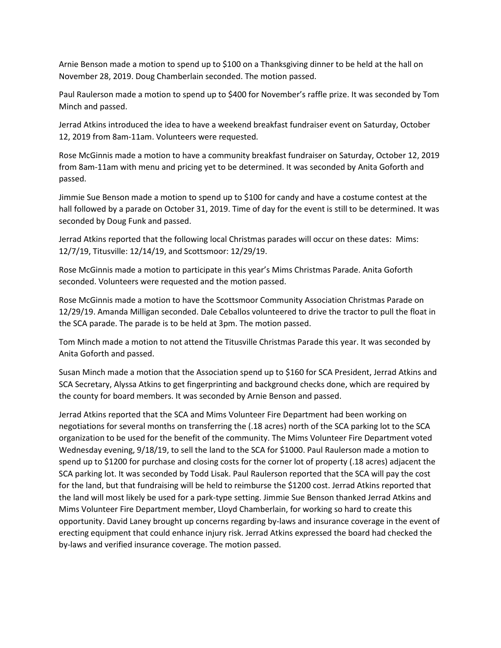Arnie Benson made a motion to spend up to \$100 on a Thanksgiving dinner to be held at the hall on November 28, 2019. Doug Chamberlain seconded. The motion passed.

Paul Raulerson made a motion to spend up to \$400 for November's raffle prize. It was seconded by Tom Minch and passed.

Jerrad Atkins introduced the idea to have a weekend breakfast fundraiser event on Saturday, October 12, 2019 from 8am-11am. Volunteers were requested.

Rose McGinnis made a motion to have a community breakfast fundraiser on Saturday, October 12, 2019 from 8am-11am with menu and pricing yet to be determined. It was seconded by Anita Goforth and passed.

Jimmie Sue Benson made a motion to spend up to \$100 for candy and have a costume contest at the hall followed by a parade on October 31, 2019. Time of day for the event is still to be determined. It was seconded by Doug Funk and passed.

Jerrad Atkins reported that the following local Christmas parades will occur on these dates: Mims: 12/7/19, Titusville: 12/14/19, and Scottsmoor: 12/29/19.

Rose McGinnis made a motion to participate in this year's Mims Christmas Parade. Anita Goforth seconded. Volunteers were requested and the motion passed.

Rose McGinnis made a motion to have the Scottsmoor Community Association Christmas Parade on 12/29/19. Amanda Milligan seconded. Dale Ceballos volunteered to drive the tractor to pull the float in the SCA parade. The parade is to be held at 3pm. The motion passed.

Tom Minch made a motion to not attend the Titusville Christmas Parade this year. It was seconded by Anita Goforth and passed.

Susan Minch made a motion that the Association spend up to \$160 for SCA President, Jerrad Atkins and SCA Secretary, Alyssa Atkins to get fingerprinting and background checks done, which are required by the county for board members. It was seconded by Arnie Benson and passed.

Jerrad Atkins reported that the SCA and Mims Volunteer Fire Department had been working on negotiations for several months on transferring the (.18 acres) north of the SCA parking lot to the SCA organization to be used for the benefit of the community. The Mims Volunteer Fire Department voted Wednesday evening, 9/18/19, to sell the land to the SCA for \$1000. Paul Raulerson made a motion to spend up to \$1200 for purchase and closing costs for the corner lot of property (.18 acres) adjacent the SCA parking lot. It was seconded by Todd Lisak. Paul Raulerson reported that the SCA will pay the cost for the land, but that fundraising will be held to reimburse the \$1200 cost. Jerrad Atkins reported that the land will most likely be used for a park-type setting. Jimmie Sue Benson thanked Jerrad Atkins and Mims Volunteer Fire Department member, Lloyd Chamberlain, for working so hard to create this opportunity. David Laney brought up concerns regarding by-laws and insurance coverage in the event of erecting equipment that could enhance injury risk. Jerrad Atkins expressed the board had checked the by-laws and verified insurance coverage. The motion passed.